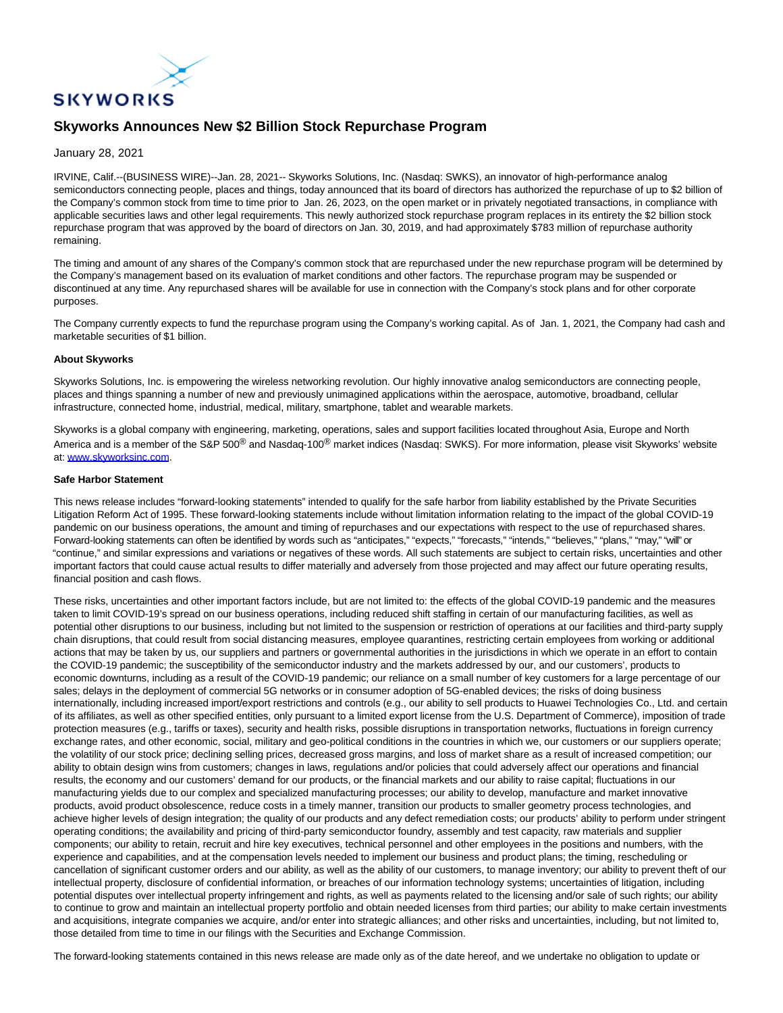

## **Skyworks Announces New \$2 Billion Stock Repurchase Program**

## January 28, 2021

IRVINE, Calif.--(BUSINESS WIRE)--Jan. 28, 2021-- Skyworks Solutions, Inc. (Nasdaq: SWKS), an innovator of high-performance analog semiconductors connecting people, places and things, today announced that its board of directors has authorized the repurchase of up to \$2 billion of the Company's common stock from time to time prior to Jan. 26, 2023, on the open market or in privately negotiated transactions, in compliance with applicable securities laws and other legal requirements. This newly authorized stock repurchase program replaces in its entirety the \$2 billion stock repurchase program that was approved by the board of directors on Jan. 30, 2019, and had approximately \$783 million of repurchase authority remaining.

The timing and amount of any shares of the Company's common stock that are repurchased under the new repurchase program will be determined by the Company's management based on its evaluation of market conditions and other factors. The repurchase program may be suspended or discontinued at any time. Any repurchased shares will be available for use in connection with the Company's stock plans and for other corporate purposes.

The Company currently expects to fund the repurchase program using the Company's working capital. As of Jan. 1, 2021, the Company had cash and marketable securities of \$1 billion.

## **About Skyworks**

Skyworks Solutions, Inc. is empowering the wireless networking revolution. Our highly innovative analog semiconductors are connecting people, places and things spanning a number of new and previously unimagined applications within the aerospace, automotive, broadband, cellular infrastructure, connected home, industrial, medical, military, smartphone, tablet and wearable markets.

Skyworks is a global company with engineering, marketing, operations, sales and support facilities located throughout Asia, Europe and North America and is a member of the S&P 500<sup>®</sup> and Nasdaq-100<sup>®</sup> market indices (Nasdaq: SWKS). For more information, please visit Skyworks' website at: [www.skyworksinc.com.](https://cts.businesswire.com/ct/CT?id=smartlink&url=http%3A%2F%2Fwww.skyworksinc.com&esheet=52369271&newsitemid=20210128006049&lan=en-US&anchor=www.skyworksinc.com&index=1&md5=b72f42a706146615d8c526c2c2136f6b)

## **Safe Harbor Statement**

This news release includes "forward-looking statements" intended to qualify for the safe harbor from liability established by the Private Securities Litigation Reform Act of 1995. These forward-looking statements include without limitation information relating to the impact of the global COVID-19 pandemic on our business operations, the amount and timing of repurchases and our expectations with respect to the use of repurchased shares. Forward-looking statements can often be identified by words such as "anticipates," "expects," "forecasts," "intends," "believes," "plans," "may," "will" or "continue," and similar expressions and variations or negatives of these words. All such statements are subject to certain risks, uncertainties and other important factors that could cause actual results to differ materially and adversely from those projected and may affect our future operating results, financial position and cash flows.

These risks, uncertainties and other important factors include, but are not limited to: the effects of the global COVID-19 pandemic and the measures taken to limit COVID-19's spread on our business operations, including reduced shift staffing in certain of our manufacturing facilities, as well as potential other disruptions to our business, including but not limited to the suspension or restriction of operations at our facilities and third-party supply chain disruptions, that could result from social distancing measures, employee quarantines, restricting certain employees from working or additional actions that may be taken by us, our suppliers and partners or governmental authorities in the jurisdictions in which we operate in an effort to contain the COVID-19 pandemic; the susceptibility of the semiconductor industry and the markets addressed by our, and our customers', products to economic downturns, including as a result of the COVID-19 pandemic; our reliance on a small number of key customers for a large percentage of our sales; delays in the deployment of commercial 5G networks or in consumer adoption of 5G-enabled devices; the risks of doing business internationally, including increased import/export restrictions and controls (e.g., our ability to sell products to Huawei Technologies Co., Ltd. and certain of its affiliates, as well as other specified entities, only pursuant to a limited export license from the U.S. Department of Commerce), imposition of trade protection measures (e.g., tariffs or taxes), security and health risks, possible disruptions in transportation networks, fluctuations in foreign currency exchange rates, and other economic, social, military and geo-political conditions in the countries in which we, our customers or our suppliers operate; the volatility of our stock price; declining selling prices, decreased gross margins, and loss of market share as a result of increased competition; our ability to obtain design wins from customers; changes in laws, regulations and/or policies that could adversely affect our operations and financial results, the economy and our customers' demand for our products, or the financial markets and our ability to raise capital; fluctuations in our manufacturing yields due to our complex and specialized manufacturing processes; our ability to develop, manufacture and market innovative products, avoid product obsolescence, reduce costs in a timely manner, transition our products to smaller geometry process technologies, and achieve higher levels of design integration; the quality of our products and any defect remediation costs; our products' ability to perform under stringent operating conditions; the availability and pricing of third-party semiconductor foundry, assembly and test capacity, raw materials and supplier components; our ability to retain, recruit and hire key executives, technical personnel and other employees in the positions and numbers, with the experience and capabilities, and at the compensation levels needed to implement our business and product plans; the timing, rescheduling or cancellation of significant customer orders and our ability, as well as the ability of our customers, to manage inventory; our ability to prevent theft of our intellectual property, disclosure of confidential information, or breaches of our information technology systems; uncertainties of litigation, including potential disputes over intellectual property infringement and rights, as well as payments related to the licensing and/or sale of such rights; our ability to continue to grow and maintain an intellectual property portfolio and obtain needed licenses from third parties; our ability to make certain investments and acquisitions, integrate companies we acquire, and/or enter into strategic alliances; and other risks and uncertainties, including, but not limited to, those detailed from time to time in our filings with the Securities and Exchange Commission.

The forward-looking statements contained in this news release are made only as of the date hereof, and we undertake no obligation to update or